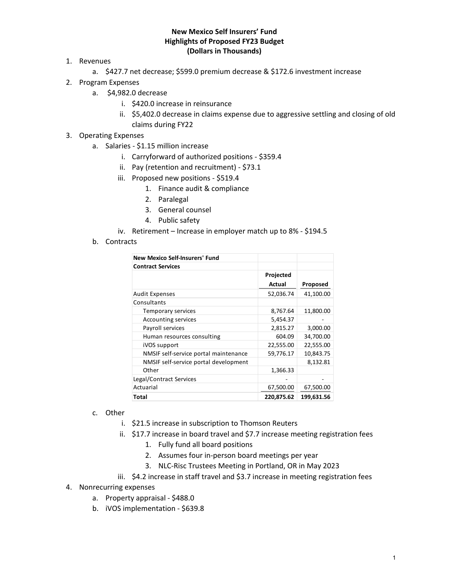## **New Mexico Self Insurers' Fund Highlights of Proposed FY23 Budget (Dollars in Thousands)**

- 1. Revenues
	- a. \$427.7 net decrease; \$599.0 premium decrease & \$172.6 investment increase
- 2. Program Expenses
	- a. \$4,982.0 decrease
		- i. \$420.0 increase in reinsurance
		- ii. \$5,402.0 decrease in claims expense due to aggressive settling and closing of old claims during FY22
- 3. Operating Expenses
	- a. Salaries ‐ \$1.15 million increase
		- i. Carryforward of authorized positions ‐ \$359.4
		- ii. Pay (retention and recruitment) ‐ \$73.1
		- iii. Proposed new positions ‐ \$519.4
			- 1. Finance audit & compliance
			- 2. Paralegal
			- 3. General counsel
			- 4. Public safety
		- iv. Retirement Increase in employer match up to 8% ‐ \$194.5
	- b. Contracts

| New Mexico Self-Insurers' Fund        |            |            |
|---------------------------------------|------------|------------|
| <b>Contract Services</b>              |            |            |
|                                       | Projected  |            |
|                                       | Actual     | Proposed   |
| <b>Audit Expenses</b>                 | 52,036.74  | 41,100.00  |
| Consultants                           |            |            |
| Temporary services                    | 8,767.64   | 11,800.00  |
| <b>Accounting services</b>            | 5,454.37   |            |
| Payroll services                      | 2,815.27   | 3,000.00   |
| Human resources consulting            | 604.09     | 34,700.00  |
| iVOS support                          | 22,555.00  | 22,555.00  |
| NMSIF self-service portal maintenance | 59,776.17  | 10,843.75  |
| NMSIF self-service portal development |            | 8,132.81   |
| Other                                 | 1,366.33   |            |
| Legal/Contract Services               |            |            |
| Actuarial                             | 67,500.00  | 67,500.00  |
| Total                                 | 220,875.62 | 199,631.56 |

- c. Other
	- i. \$21.5 increase in subscription to Thomson Reuters
	- ii. \$17.7 increase in board travel and \$7.7 increase meeting registration fees
		- 1. Fully fund all board positions
		- 2. Assumes four in‐person board meetings per year
		- 3. NLC‐Risc Trustees Meeting in Portland, OR in May 2023
	- iii. \$4.2 increase in staff travel and \$3.7 increase in meeting registration fees
- 4. Nonrecurring expenses
	- a. Property appraisal ‐ \$488.0
	- b. iVOS implementation ‐ \$639.8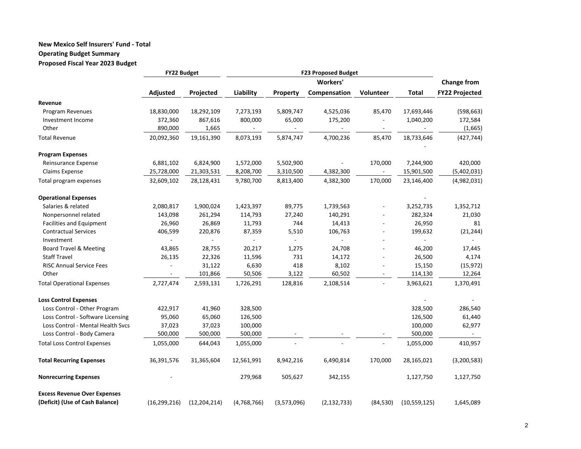### **New Mexico Self Insurers' Fund ‐ Total Operating Budget Summary Proposed Fiscal Year 2023 Budget**

|                                     | FY22 Budget              |                |                |                 |                |                          |                |                       |  |  |
|-------------------------------------|--------------------------|----------------|----------------|-----------------|----------------|--------------------------|----------------|-----------------------|--|--|
|                                     |                          |                |                | <b>Workers'</b> |                |                          |                |                       |  |  |
|                                     | Adjusted                 | Projected      | Liability      | <b>Property</b> | Compensation   | Volunteer                | <b>Total</b>   | <b>FY22 Projected</b> |  |  |
| Revenue                             |                          |                |                |                 |                |                          |                |                       |  |  |
| Program Revenues                    | 18,830,000               | 18,292,109     | 7,273,193      | 5,809,747       | 4,525,036      | 85,470                   | 17,693,446     | (598, 663)            |  |  |
| Investment Income                   | 372,360                  | 867,616        | 800,000        | 65,000          | 175,200        |                          | 1,040,200      | 172,584               |  |  |
| Other                               | 890,000                  | 1,665          | $\blacksquare$ |                 | $\blacksquare$ | $\overline{\phantom{a}}$ | $\blacksquare$ | (1,665)               |  |  |
| <b>Total Revenue</b>                | 20,092,360               | 19,161,390     | 8,073,193      | 5,874,747       | 4,700,236      | 85,470                   | 18,733,646     | (427, 744)            |  |  |
| <b>Program Expenses</b>             |                          |                |                |                 |                |                          |                |                       |  |  |
| Reinsurance Expense                 | 6,881,102                | 6,824,900      | 1,572,000      | 5,502,900       | $\overline{a}$ | 170,000                  | 7,244,900      | 420,000               |  |  |
| Claims Expense                      | 25,728,000               | 21,303,531     | 8,208,700      | 3,310,500       | 4,382,300      | $\blacksquare$           | 15,901,500     | (5,402,031)           |  |  |
| Total program expenses              | 32,609,102               | 28,128,431     | 9,780,700      | 8,813,400       | 4,382,300      | 170,000                  | 23,146,400     | (4,982,031)           |  |  |
| <b>Operational Expenses</b>         |                          |                |                |                 |                |                          |                |                       |  |  |
| Salaries & related                  | 2,080,817                | 1,900,024      | 1,423,397      | 89,775          | 1,739,563      |                          | 3,252,735      | 1,352,712             |  |  |
| Nonpersonnel related                | 143,098                  | 261,294        | 114,793        | 27,240          | 140,291        |                          | 282,324        | 21,030                |  |  |
| Facilities and Equipment            | 26,960                   | 26,869         | 11,793         | 744             | 14,413         |                          | 26,950         | 81                    |  |  |
| <b>Contractual Services</b>         | 406,599                  | 220,876        | 87,359         | 5,510           | 106,763        |                          | 199,632        | (21, 244)             |  |  |
| Investment                          |                          |                |                |                 |                |                          | $\blacksquare$ |                       |  |  |
| <b>Board Travel &amp; Meeting</b>   | 43,865                   | 28,755         | 20,217         | 1,275           | 24,708         |                          | 46,200         | 17,445                |  |  |
| <b>Staff Travel</b>                 | 26,135                   | 22,326         | 11,596         | 731             | 14,172         |                          | 26,500         | 4,174                 |  |  |
| <b>RISC Annual Service Fees</b>     |                          | 31,122         | 6,630          | 418             | 8,102          |                          | 15,150         | (15, 972)             |  |  |
| Other                               | $\overline{\phantom{a}}$ | 101,866        | 50,506         | 3,122           | 60,502         |                          | 114,130        | 12,264                |  |  |
| <b>Total Operational Expenses</b>   | 2,727,474                | 2,593,131      | 1,726,291      | 128,816         | 2,108,514      | $\sim$                   | 3,963,621      | 1,370,491             |  |  |
| <b>Loss Control Expenses</b>        |                          |                |                |                 |                |                          |                |                       |  |  |
| Loss Control - Other Program        | 422,917                  | 41,960         | 328,500        |                 |                |                          | 328,500        | 286,540               |  |  |
| Loss Control - Software Licensing   | 95,060                   | 65,060         | 126,500        |                 |                |                          | 126,500        | 61,440                |  |  |
| Loss Control - Mental Health Svcs   | 37,023                   | 37,023         | 100,000        |                 |                |                          | 100,000        | 62,977                |  |  |
| Loss Control - Body Camera          | 500,000                  | 500,000        | 500,000        |                 |                |                          | 500,000        | $\sim$                |  |  |
| <b>Total Loss Control Expenses</b>  | 1,055,000                | 644,043        | 1,055,000      |                 |                |                          | 1,055,000      | 410,957               |  |  |
| <b>Total Recurring Expenses</b>     | 36,391,576               | 31,365,604     | 12,561,991     | 8,942,216       | 6,490,814      | 170,000                  | 28,165,021     | (3,200,583)           |  |  |
| <b>Nonrecurring Expenses</b>        |                          |                | 279,968        | 505,627         | 342,155        |                          | 1,127,750      | 1,127,750             |  |  |
| <b>Excess Revenue Over Expenses</b> |                          |                |                |                 |                |                          |                |                       |  |  |
| (Deficit) (Use of Cash Balance)     | (16, 299, 216)           | (12, 204, 214) | (4,768,766)    | (3,573,096)     | (2, 132, 733)  | (84, 530)                | (10, 559, 125) | 1,645,089             |  |  |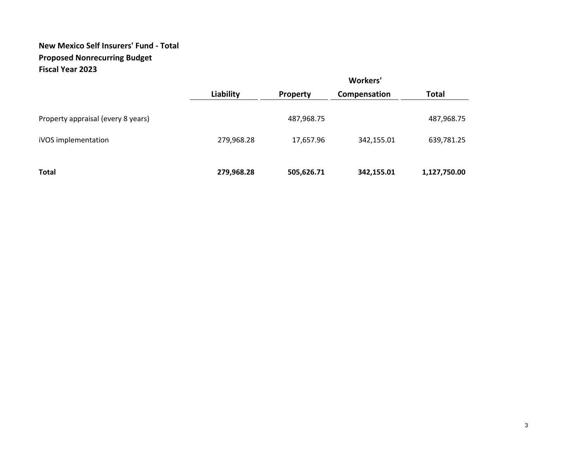# **New Mexico Self Insurers' Fund ‐ Total Proposed Nonrecurring Budget Fiscal Year 2023**

|                                    | Workers'   |                 |              |              |  |  |  |
|------------------------------------|------------|-----------------|--------------|--------------|--|--|--|
|                                    | Liability  | <b>Property</b> | Compensation | <b>Total</b> |  |  |  |
| Property appraisal (every 8 years) |            | 487,968.75      |              | 487,968.75   |  |  |  |
| iVOS implementation                | 279,968.28 | 17,657.96       | 342,155.01   | 639,781.25   |  |  |  |
| <b>Total</b>                       | 279,968.28 | 505,626.71      | 342,155.01   | 1,127,750.00 |  |  |  |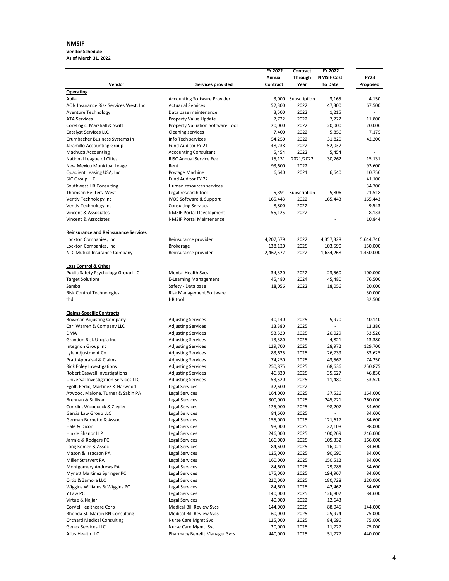#### **NMSIF**

**Vendor Schedule As of March 31, 2022**

| Vendor                                                  | Services provided                   | FY 2022<br>Annual<br>Contract | <b>Contract</b><br><b>Through</b><br>Year | FY 2022<br><b>NMSIF Cost</b><br><b>To Date</b> | <b>FY23</b><br>Proposed  |
|---------------------------------------------------------|-------------------------------------|-------------------------------|-------------------------------------------|------------------------------------------------|--------------------------|
| <b>Operating</b>                                        |                                     |                               |                                           |                                                |                          |
| Abila                                                   | <b>Accounting Software Provider</b> |                               | 3,000 Subscription                        | 3,165                                          | 4,150                    |
| AON Insurance Risk Services West, Inc.                  | <b>Actuarial Services</b>           | 52,300                        | 2022                                      | 47,300                                         | 67,500                   |
| Aventure Technology                                     | Data base maintenance               | 3,500                         | 2022                                      | 1,215                                          |                          |
| <b>ATA Services</b>                                     | Property Value Update               | 7,722                         | 2022                                      | 7,722                                          | 11,800                   |
| CoreLogic, Marshall & Swift                             | Property Valuation Software Tool    | 20,000                        | 2022                                      | 20,000                                         | 20,000                   |
| Catalyst Services LLC                                   | <b>Cleaning services</b>            | 7,400                         | 2022                                      | 5,856                                          | 7,175                    |
| Crumbacher Business Systems In                          | Info Tech services                  | 54,250                        | 2022                                      | 31,820                                         | 42,200                   |
| Jaramillo Accounting Group                              | Fund Auditor FY 21                  | 48,238                        | 2022                                      | 52,037                                         | $\overline{\phantom{0}}$ |
| <b>Machuca Accounting</b>                               | <b>Accounting Consultant</b>        | 5,454                         | 2022                                      | 5,454                                          |                          |
| National League of Cities                               | <b>RISC Annual Service Fee</b>      | 15,131                        | 2021/2022                                 | 30,262                                         | 15,131                   |
| New Mexicu Municipal Leage                              | Rent                                | 93,600                        | 2022                                      |                                                | 93,600                   |
| Quadient Leasing USA, Inc                               | Postage Machine                     | 6,640                         | 2021                                      | 6,640                                          | 10,750                   |
| SJC Group LLC                                           | Fund Auditor FY 22                  |                               |                                           |                                                | 41,100                   |
| Southwest HR Consulting                                 | Human resources services            |                               |                                           |                                                | 34,700                   |
| Thomson Reuters West                                    | Legal research tool                 |                               | 5,391 Subscription                        | 5,806                                          | 21,518                   |
|                                                         |                                     | 165,443                       | 2022                                      | 165,443                                        |                          |
| Ventiv Technology Inc                                   | IVOS Software & Support             |                               |                                           | $\overline{a}$                                 | 165,443                  |
| Ventiv Technology Inc                                   | <b>Consulting Services</b>          | 8,800                         | 2022                                      |                                                | 9,543                    |
| Vincent & Associates                                    | <b>NMSIF Portal Development</b>     | 55,125                        | 2022                                      | $\overline{a}$                                 | 8,133                    |
| Vincent & Associates                                    | <b>NMSIF Portal Maintenance</b>     |                               |                                           |                                                | 10,844                   |
| <b>Reinsurance and Reinsurance Services</b>             |                                     |                               |                                           |                                                |                          |
| Lockton Companies, Inc                                  | Reinsurance provider                | 4,207,579                     | 2022                                      | 4,357,328                                      | 5,644,740                |
| Lockton Companies, Inc                                  | <b>Brokerage</b>                    | 138,120                       | 2025                                      | 103,590                                        | 150,000                  |
| NLC Mutual Insurance Company                            | Reinsurance provider                | 2,467,572                     | 2022                                      | 1,634,268                                      | 1,450,000                |
| <b>Loss Control &amp; Other</b>                         |                                     |                               |                                           |                                                |                          |
| Public Safety Psychology Group LLC                      | <b>Mental Health Svcs</b>           | 34,320                        | 2022                                      | 23,560                                         | 100,000                  |
| <b>Target Solutions</b>                                 | <b>E-Learning Management</b>        | 45,480                        | 2024                                      | 45,480                                         | 76,500                   |
| Samba                                                   | Safety - Data base                  | 18,056                        | 2022                                      | 18,056                                         | 20,000                   |
| Risk Control Technologies                               | Risk Management Software            |                               |                                           |                                                | 30,000                   |
| tbd                                                     | HR tool                             |                               |                                           |                                                | 32,500                   |
| <b>Claims-Specific Contracts</b>                        |                                     |                               |                                           |                                                |                          |
| <b>Bowman Adjusting Company</b>                         | <b>Adjusting Services</b>           | 40,140                        | 2025                                      | 5,970                                          | 40,140                   |
| Carl Warren & Company LLC                               | <b>Adjusting Services</b>           | 13,380                        | 2025                                      |                                                | 13,380                   |
| <b>DMA</b>                                              | <b>Adjusting Services</b>           | 53,520                        | 2025                                      | 20,029                                         | 53,520                   |
| Grandon Risk Utopia Inc                                 | <b>Adjusting Services</b>           | 13,380                        | 2025                                      | 4,821                                          | 13,380                   |
| Integrion Group Inc                                     | <b>Adjusting Services</b>           | 129,700                       | 2025                                      | 28,972                                         | 129,700                  |
| Lyle Adjustment Co.                                     | <b>Adjusting Services</b>           | 83,625                        | 2025                                      | 26,739                                         | 83,625                   |
| Pratt Appraisal & Claims                                | <b>Adjusting Services</b>           | 74,250                        | 2025                                      | 43,567                                         | 74,250                   |
| <b>Rick Foley Investigations</b>                        | <b>Adjusting Services</b>           | 250,875                       | 2025                                      | 68,636                                         | 250,875                  |
| Robert Caswell Investigations                           | <b>Adjusting Services</b>           | 46,830                        | 2025                                      | 35,627                                         | 46,830                   |
| Universal Investigation Services LLC                    | <b>Adjusting Services</b>           | 53,520                        | 2025                                      | 11,480                                         | 53,520                   |
| Egolf, Ferlic, Martinez & Harwood                       | Legal Services                      | 32,600                        | 2022                                      | L,                                             |                          |
|                                                         | Legal Services                      |                               | 2025                                      | 37,526                                         |                          |
| Atwood, Malone, Turner & Sabin PA<br>Brennan & Sullivan |                                     | 164,000                       |                                           |                                                | 164,000                  |
|                                                         | Legal Services                      | 300,000                       | 2025                                      | 245,721                                        | 260,000                  |
| Conklin, Woodcock & Ziegler                             | Legal Services                      | 125,000                       | 2025                                      | 98,207                                         | 84,600                   |
| Garcia Law Group LLC                                    | Legal Services                      | 84,600                        | 2025                                      | $\overline{\phantom{a}}$                       | 84,600                   |
| German Burnette & Assoc                                 | Legal Services                      | 155,000                       | 2025                                      | 121,617                                        | 84,600                   |
| Hale & Dixon                                            | Legal Services                      | 98,000                        | 2025                                      | 22,108                                         | 98,000                   |
| Hinkle Shanor LLP                                       | Legal Services                      | 246,000                       | 2025                                      | 100,269                                        | 246,000                  |
| Jarmie & Rodgers PC                                     | Legal Services                      | 166,000                       | 2025                                      | 105,332                                        | 166,000                  |
| Long Komer & Assoc                                      | Legal Services                      | 84,600                        | 2025                                      | 16,021                                         | 84,600                   |
| Mason & Issacson PA                                     | Legal Services                      | 125,000                       | 2025                                      | 90,690                                         | 84,600                   |
| Miller Stratvert PA                                     | Legal Services                      | 160,000                       | 2025                                      | 150,512                                        | 84,600                   |
| Montgomery Andrews PA                                   | Legal Services                      | 84,600                        | 2025                                      | 29,785                                         | 84,600                   |
| Mynatt Martinez Springer PC                             | Legal Services                      | 175,000                       | 2025                                      | 194,967                                        | 84,600                   |
| Ortiz & Zamora LLC                                      | Legal Services                      | 220,000                       | 2025                                      | 180,728                                        | 220,000                  |
| Wiggins Williams & Wiggins PC                           | Legal Services                      | 84,600                        | 2025                                      | 42,462                                         | 84,600                   |
| Y Law PC                                                | Legal Services                      | 140,000                       | 2025                                      | 126,802                                        | 84,600                   |
| Virtue & Najjar                                         | Legal Services                      | 40,000                        | 2022                                      | 12,643                                         | $\overline{\phantom{a}}$ |
| CorVel Healthcare Corp                                  | <b>Medical Bill Review Svcs</b>     | 144,000                       | 2025                                      | 88,045                                         | 144,000                  |
| Rhonda St. Martin RN Consulting                         | <b>Medical Bill Review Svcs</b>     | 60,000                        | 2025                                      | 25,974                                         | 75,000                   |
| <b>Orchard Medical Consulting</b>                       | Nurse Care Mgmt Svc                 | 125,000                       | 2025                                      | 84,696                                         | 75,000                   |
| Genex Services LLC                                      | Nurse Care Mgmt. Svc                | 20,000                        | 2025                                      | 11,727                                         | 75,000                   |
| Alius Health LLC                                        | Pharmacy Benefit Manager Svcs       | 440,000                       | 2025                                      | 51,777                                         | 440,000                  |
|                                                         |                                     |                               |                                           |                                                |                          |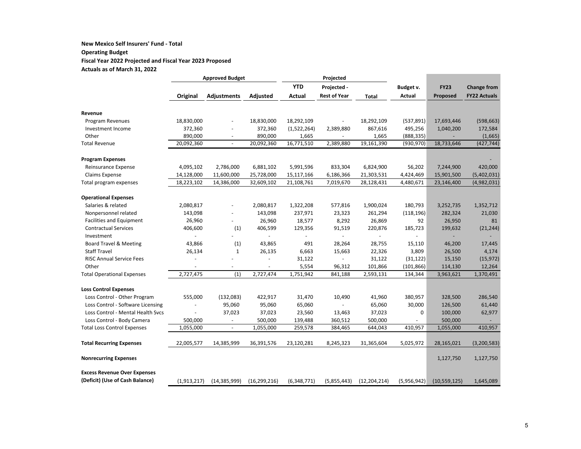#### **New Mexico Self Insurers' Fund ‐ Total Operating Budget Fiscal Year 2022 Projected and Fiscal Year 2023 Proposed Actuals as of March 31, 2022**

|                                     |               | <b>Approved Budget</b>   |                          | Projected     |                     |                |               |                |                     |
|-------------------------------------|---------------|--------------------------|--------------------------|---------------|---------------------|----------------|---------------|----------------|---------------------|
|                                     |               |                          |                          | <b>YTD</b>    | Projected -         |                | Budget v.     | <b>FY23</b>    | <b>Change from</b>  |
|                                     | Original      | <b>Adjustments</b>       | Adjusted                 | <b>Actual</b> | <b>Rest of Year</b> | <b>Total</b>   | <b>Actual</b> | Proposed       | <b>FY22 Actuals</b> |
|                                     |               |                          |                          |               |                     |                |               |                |                     |
| Revenue                             |               |                          |                          |               |                     |                |               |                |                     |
| Program Revenues                    | 18,830,000    |                          | 18,830,000               | 18,292,109    |                     | 18,292,109     | (537, 891)    | 17,693,446     | (598, 663)          |
| Investment Income                   | 372,360       |                          | 372,360                  | (1,522,264)   | 2,389,880           | 867,616        | 495,256       | 1,040,200      | 172,584             |
| Other                               | 890,000       | $\overline{a}$           | 890,000                  | 1,665         |                     | 1,665          | (888, 335)    |                | (1,665)             |
| <b>Total Revenue</b>                | 20,092,360    |                          | 20,092,360               | 16,771,510    | 2,389,880           | 19,161,390     | (930, 970)    | 18,733,646     | (427, 744)          |
| <b>Program Expenses</b>             |               |                          |                          |               |                     |                |               |                |                     |
| Reinsurance Expense                 | 4,095,102     | 2,786,000                | 6,881,102                | 5,991,596     | 833,304             | 6,824,900      | 56,202        | 7,244,900      | 420,000             |
| Claims Expense                      | 14,128,000    | 11,600,000               | 25,728,000               | 15,117,166    | 6,186,366           | 21,303,531     | 4,424,469     | 15,901,500     | (5,402,031)         |
| Total program expenses              | 18,223,102    | 14,386,000               | 32,609,102               | 21,108,761    | 7,019,670           | 28,128,431     | 4,480,671     | 23,146,400     | (4,982,031)         |
| <b>Operational Expenses</b>         |               |                          |                          |               |                     |                |               |                |                     |
| Salaries & related                  | 2,080,817     |                          | 2,080,817                | 1,322,208     | 577,816             | 1,900,024      | 180,793       | 3,252,735      | 1,352,712           |
| Nonpersonnel related                | 143,098       | $\blacksquare$           | 143,098                  | 237,971       | 23,323              | 261,294        | (118, 196)    | 282,324        | 21,030              |
| <b>Facilities and Equipment</b>     | 26,960        |                          | 26,960                   | 18,577        | 8,292               | 26,869         | 92            | 26,950         | 81                  |
| <b>Contractual Services</b>         | 406,600       | (1)                      | 406,599                  | 129,356       | 91,519              | 220,876        | 185,723       | 199,632        | (21, 244)           |
| Investment                          |               |                          | $\overline{a}$           |               | $\sim$              |                |               |                |                     |
| <b>Board Travel &amp; Meeting</b>   | 43,866        | (1)                      | 43,865                   | 491           | 28,264              | 28,755         | 15,110        | 46,200         | 17,445              |
| <b>Staff Travel</b>                 | 26,134        | $\mathbf{1}$             | 26,135                   | 6,663         | 15,663              | 22,326         | 3,809         | 26,500         | 4,174               |
| <b>RISC Annual Service Fees</b>     | L,            |                          | $\overline{\phantom{a}}$ | 31,122        |                     | 31,122         | (31, 122)     | 15,150         | (15, 972)           |
| Other                               |               | $\blacksquare$           | $\overline{\phantom{m}}$ | 5,554         | 96,312              | 101,866        | (101, 866)    | 114,130        | 12,264              |
| <b>Total Operational Expenses</b>   | 2,727,475     | (1)                      | 2,727,474                | 1,751,942     | 841,188             | 2,593,131      | 134,344       | 3,963,621      | 1,370,491           |
| <b>Loss Control Expenses</b>        |               |                          |                          |               |                     |                |               |                |                     |
| Loss Control - Other Program        | 555,000       | (132,083)                | 422,917                  | 31,470        | 10,490              | 41,960         | 380,957       | 328,500        | 286,540             |
| Loss Control - Software Licensing   |               | 95,060                   | 95,060                   | 65,060        | $\omega$            | 65,060         | 30,000        | 126,500        | 61,440              |
| Loss Control - Mental Health Sycs   |               | 37,023                   | 37,023                   | 23,560        | 13,463              | 37,023         | 0             | 100,000        | 62,977              |
| Loss Control - Body Camera          | 500,000       | $\overline{\phantom{a}}$ | 500,000                  | 139,488       | 360,512             | 500,000        |               | 500,000        |                     |
| <b>Total Loss Control Expenses</b>  | 1,055,000     | $\omega$                 | 1,055,000                | 259,578       | 384,465             | 644,043        | 410,957       | 1,055,000      | 410,957             |
|                                     | 22,005,577    |                          |                          |               |                     |                |               |                | (3, 200, 583)       |
| <b>Total Recurring Expenses</b>     |               | 14,385,999               | 36,391,576               | 23,120,281    | 8,245,323           | 31,365,604     | 5,025,972     | 28,165,021     |                     |
| <b>Nonrecurring Expenses</b>        |               |                          |                          |               |                     |                |               | 1,127,750      | 1,127,750           |
| <b>Excess Revenue Over Expenses</b> |               |                          |                          |               |                     |                |               |                |                     |
| (Deficit) (Use of Cash Balance)     | (1, 913, 217) | (14, 385, 999)           | (16, 299, 216)           | (6,348,771)   | (5,855,443)         | (12, 204, 214) | (5,956,942)   | (10, 559, 125) | 1,645,089           |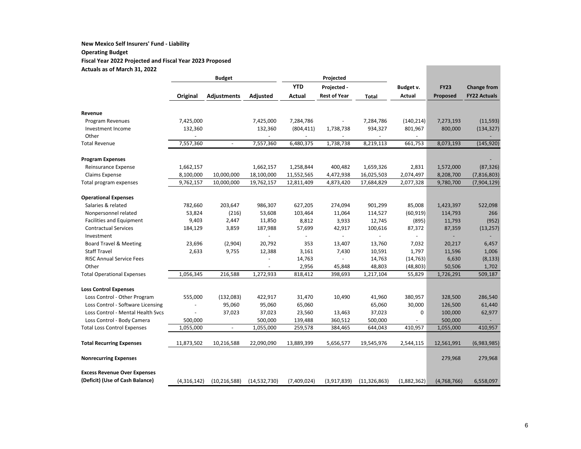#### **New Mexico Self Insurers' Fund ‐ Liability Operating Budget Fiscal Year 2022 Projected and Fiscal Year 2023 Proposed Actuals as of March 31, 2022**

|                                                                | <b>Budget</b>    |                          | Projected         |                 |                          |                   |               |             |                     |
|----------------------------------------------------------------|------------------|--------------------------|-------------------|-----------------|--------------------------|-------------------|---------------|-------------|---------------------|
|                                                                |                  |                          |                   | <b>YTD</b>      | Projected -              |                   | Budget v.     | <b>FY23</b> | <b>Change from</b>  |
|                                                                | Original         | Adjustments              | Adjusted          | <b>Actual</b>   | <b>Rest of Year</b>      | <b>Total</b>      | <b>Actual</b> | Proposed    | <b>FY22 Actuals</b> |
|                                                                |                  |                          |                   |                 |                          |                   |               |             |                     |
| Revenue                                                        |                  |                          |                   |                 |                          |                   |               |             |                     |
| Program Revenues                                               | 7,425,000        |                          | 7,425,000         | 7,284,786       | $\overline{\phantom{a}}$ | 7,284,786         | (140, 214)    | 7,273,193   | (11, 593)           |
| Investment Income                                              | 132,360          |                          | 132,360           | (804, 411)      | 1,738,738                | 934,327           | 801,967       | 800,000     | (134, 327)          |
| Other                                                          |                  |                          |                   |                 |                          |                   |               |             |                     |
| Total Revenue                                                  | 7,557,360        | $\omega$                 | 7,557,360         | 6,480,375       | 1,738,738                | 8,219,113         | 661,753       | 8,073,193   | (145, 920)          |
| <b>Program Expenses</b>                                        |                  |                          |                   |                 |                          |                   |               |             |                     |
| Reinsurance Expense                                            | 1,662,157        |                          | 1,662,157         | 1,258,844       | 400,482                  | 1,659,326         | 2,831         | 1,572,000   | (87, 326)           |
| Claims Expense                                                 | 8,100,000        | 10,000,000               | 18,100,000        | 11,552,565      | 4,472,938                | 16,025,503        | 2,074,497     | 8,208,700   | (7,816,803)         |
| Total program expenses                                         | 9,762,157        | 10,000,000               | 19,762,157        | 12,811,409      | 4,873,420                | 17,684,829        | 2,077,328     | 9,780,700   | (7,904,129)         |
| <b>Operational Expenses</b>                                    |                  |                          |                   |                 |                          |                   |               |             |                     |
| Salaries & related                                             | 782,660          | 203,647                  | 986,307           | 627,205         | 274,094                  | 901,299           | 85,008        | 1,423,397   | 522,098             |
|                                                                | 53,824           | (216)                    | 53,608            | 103,464         | 11,064                   | 114,527           | (60, 919)     | 114,793     | 266                 |
| Nonpersonnel related                                           |                  |                          |                   |                 |                          |                   |               |             |                     |
| <b>Facilities and Equipment</b><br><b>Contractual Services</b> | 9,403<br>184,129 | 2,447<br>3,859           | 11,850<br>187,988 | 8,812<br>57,699 | 3,933                    | 12,745<br>100,616 | (895)         | 11,793      | (952)               |
| Investment                                                     |                  |                          |                   |                 | 42,917                   |                   | 87,372        | 87,359      | (13, 257)           |
| <b>Board Travel &amp; Meeting</b>                              | 23,696           | (2,904)                  | 20,792            | 353             | 13,407                   | 13,760            | 7,032         | 20,217      | 6,457               |
| <b>Staff Travel</b>                                            | 2,633            | 9,755                    | 12,388            | 3,161           | 7,430                    | 10,591            | 1,797         | 11,596      | 1,006               |
| RISC Annual Service Fees                                       |                  |                          |                   | 14,763          |                          | 14,763            | (14, 763)     | 6,630       | (8, 133)            |
| Other                                                          |                  |                          |                   | 2,956           | 45,848                   | 48,803            | (48, 803)     | 50,506      | 1,702               |
| <b>Total Operational Expenses</b>                              | 1,056,345        | 216,588                  | 1,272,933         | 818,412         | 398,693                  | 1,217,104         | 55,829        | 1,726,291   | 509,187             |
|                                                                |                  |                          |                   |                 |                          |                   |               |             |                     |
| <b>Loss Control Expenses</b>                                   |                  |                          |                   |                 |                          |                   |               |             |                     |
| Loss Control - Other Program                                   | 555,000          | (132,083)                | 422,917           | 31,470          | 10,490                   | 41,960            | 380,957       | 328,500     | 286,540             |
| Loss Control - Software Licensing                              |                  | 95,060                   | 95,060            | 65,060          |                          | 65,060            | 30,000        | 126,500     | 61,440              |
| Loss Control - Mental Health Sycs                              | $\blacksquare$   | 37,023                   | 37,023            | 23,560          | 13,463                   | 37,023            | 0             | 100,000     | 62,977              |
| Loss Control - Body Camera                                     | 500,000          |                          | 500,000           | 139,488         | 360,512                  | 500,000           |               | 500,000     |                     |
| <b>Total Loss Control Expenses</b>                             | 1,055,000        | $\overline{\phantom{a}}$ | 1,055,000         | 259,578         | 384,465                  | 644,043           | 410,957       | 1,055,000   | 410,957             |
| <b>Total Recurring Expenses</b>                                | 11,873,502       | 10,216,588               | 22,090,090        | 13,889,399      | 5,656,577                | 19,545,976        | 2,544,115     | 12,561,991  | (6,983,985)         |
| <b>Nonrecurring Expenses</b>                                   |                  |                          |                   |                 |                          |                   |               | 279,968     | 279,968             |
| <b>Excess Revenue Over Expenses</b>                            |                  |                          |                   |                 |                          |                   |               |             |                     |
| (Deficit) (Use of Cash Balance)                                | (4,316,142)      | (10, 216, 588)           | (14, 532, 730)    | (7,409,024)     | (3,917,839)              | (11, 326, 863)    | (1,882,362)   | (4,768,766) | 6,558,097           |

and the control of the control of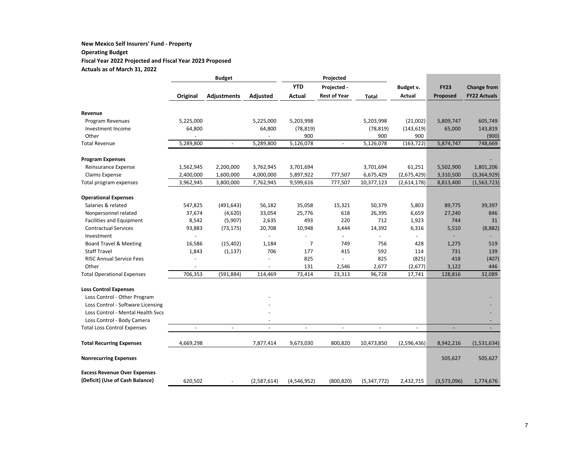#### **New Mexico Self Insurers' Fund ‐ Property Operating Budget Fiscal Year 2022 Projected and Fiscal Year 2023 Proposed Actuals as of March 31, 2022**

|                                                                  |                | <b>Budget</b>      |             | Projected     |                     |               |                          |             |                     |
|------------------------------------------------------------------|----------------|--------------------|-------------|---------------|---------------------|---------------|--------------------------|-------------|---------------------|
|                                                                  |                |                    |             | <b>YTD</b>    | Projected -         |               | Budget v.                | <b>FY23</b> | <b>Change from</b>  |
|                                                                  | Original       | <b>Adjustments</b> | Adjusted    | <b>Actual</b> | <b>Rest of Year</b> | <b>Total</b>  | <b>Actual</b>            | Proposed    | <b>FY22 Actuals</b> |
|                                                                  |                |                    |             |               |                     |               |                          |             |                     |
| Revenue                                                          |                |                    |             |               |                     |               |                          |             |                     |
| Program Revenues                                                 | 5,225,000      |                    | 5,225,000   | 5,203,998     |                     | 5,203,998     | (21,002)                 | 5,809,747   | 605,749             |
| Investment Income                                                | 64,800         |                    | 64,800      | (78, 819)     |                     | (78, 819)     | (143, 619)               | 65,000      | 143,819             |
| Other                                                            |                |                    |             | 900           |                     | 900           | 900                      |             | (900)               |
| <b>Total Revenue</b>                                             | 5,289,800      | $\blacksquare$     | 5,289,800   | 5,126,078     | $\blacksquare$      | 5,126,078     | (163, 722)               | 5,874,747   | 748,669             |
| <b>Program Expenses</b>                                          |                |                    |             |               |                     |               |                          |             |                     |
| Reinsurance Expense                                              | 1,562,945      | 2,200,000          | 3,762,945   | 3,701,694     |                     | 3,701,694     | 61,251                   | 5,502,900   | 1,801,206           |
| Claims Expense                                                   | 2,400,000      | 1,600,000          | 4,000,000   | 5,897,922     | 777,507             | 6,675,429     | (2,675,429)              | 3,310,500   | (3,364,929)         |
| Total program expenses                                           | 3,962,945      | 3,800,000          | 7,762,945   | 9,599,616     | 777,507             | 10,377,123    | (2,614,178)              | 8,813,400   | (1, 563, 723)       |
| <b>Operational Expenses</b>                                      |                |                    |             |               |                     |               |                          |             |                     |
| Salaries & related                                               | 547,825        | (491, 643)         | 56,182      | 35,058        | 15,321              | 50,379        | 5,803                    | 89,775      | 39,397              |
| Nonpersonnel related                                             | 37,674         | (4,620)            | 33,054      | 25,776        | 618                 | 26,395        | 6,659                    | 27,240      | 846                 |
| <b>Facilities and Equipment</b>                                  | 8,542          | (5,907)            | 2,635       | 493           | 220                 | 712           | 1,923                    | 744         | 31                  |
| <b>Contractual Services</b>                                      | 93,883         | (73, 175)          | 20,708      | 10,948        | 3,444               | 14,392        | 6,316                    | 5,510       | (8,882)             |
| Investment                                                       |                |                    | $\omega$    |               | $\blacksquare$      |               |                          |             |                     |
| Board Travel & Meeting                                           | 16,586         | (15, 402)          | 1,184       | 7             | 749                 | 756           | 428                      | 1,275       | 519                 |
| <b>Staff Travel</b>                                              | 1,843          | (1, 137)           | 706         | 177           | 415                 | 592           | 114                      | 731         | 139                 |
| <b>RISC Annual Service Fees</b>                                  |                |                    |             | 825           | $\overline{a}$      | 825           | (825)                    | 418         | (407)               |
| Other                                                            |                |                    |             | 131           | 2,546               | 2,677         | (2,677)                  | 3,122       | 446                 |
| <b>Total Operational Expenses</b>                                | 706,353        | (591, 884)         | 114,469     | 73,414        | 23,313              | 96,728        | 17,741                   | 128,816     | 32,089              |
| <b>Loss Control Expenses</b>                                     |                |                    |             |               |                     |               |                          |             |                     |
| Loss Control - Other Program                                     |                |                    |             |               |                     |               |                          |             |                     |
| Loss Control - Software Licensing                                |                |                    |             |               |                     |               |                          |             |                     |
| Loss Control - Mental Health Sycs                                |                |                    |             |               |                     |               |                          |             |                     |
|                                                                  |                |                    |             |               |                     |               |                          |             |                     |
| Loss Control - Body Camera<br><b>Total Loss Control Expenses</b> | $\blacksquare$ | $\blacksquare$     | $\sim$      | $\sim$        | $\sim$              | $\sim$        | $\overline{\phantom{a}}$ | ÷,          | $\sim$              |
|                                                                  |                |                    |             |               |                     |               |                          |             |                     |
| <b>Total Recurring Expenses</b>                                  | 4,669,298      |                    | 7,877,414   | 9,673,030     | 800,820             | 10,473,850    | (2,596,436)              | 8,942,216   | (1,531,634)         |
| <b>Nonrecurring Expenses</b>                                     |                |                    |             |               |                     |               |                          | 505,627     | 505,627             |
| <b>Excess Revenue Over Expenses</b>                              |                |                    |             |               |                     |               |                          |             |                     |
| (Deficit) (Use of Cash Balance)                                  | 620,502        |                    | (2,587,614) | (4,546,952)   | (800, 820)          | (5, 347, 772) | 2,432,715                | (3,573,096) | 1,774,676           |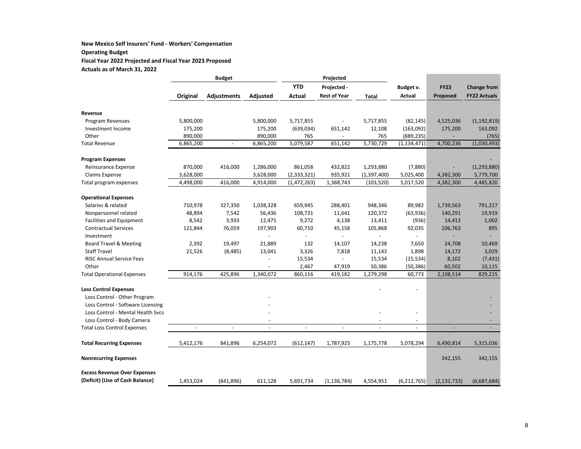#### **New Mexico Self Insurers' Fund ‐ Workers' Compensation Operating Budget Fiscal Year 2022 Projected and Fiscal Year 2023 Proposed Actuals as of March 31, 2022**

**Budget Projected Original Adjustments Adjusted YTDActual Projected ‐ Rest of Year Total Budget v. ActualFY23Proposed Change from FY22 Actuals Revenue**Program Revenues 5,800,000 5,800,000 5,717,855 ‐ 5,717,855 (82,145) 4,525,036 (1,192,819) Investment Income 175,200 175,200 (639,034) 651,142 12,108 (163,092) 175,200 163,092 Other 890,000 890,000 765 - 765 (889,235) (765) Total Revenue 6,865,200 ‐ 6,865,200 5,079,587 651,142 5,730,729 (1,134,471) 4,700,236 (1,030,493) **Program Expenses** ‐ Reinsurance Expense 870,000 416,000 1,286,000 861,058 432,822 1,293,880 ‐ (7,880) (1,293,880) Claims Expense 3,628,000 3,628,000 (2,333,321) 935,921 (1,397,400) 5,025,400 4,382,300 5,779,700 Total program expenses 4,498,000 416,000 4,914,000 (1,472,263) 1,368,743 (103,520) 5,017,520 4,382,300 4,485,820 **Operational Expenses** Salaries & related 710,978 327,350 1,038,328 659,945 288,401 948,346 89,982 1,739,563 791,217 Nonpersonnel related a a 48,894 7,542 56,436 108,731 11,641 120,372 (63,936) 140,291 19,919 Facilities and Equipment 8,542 3,933 12,475 9,272 4,138 13,411 (936) 14,413 1,002 Contractual Services 121,844 76,059 197,903 60,710 45,158 105,868 92,035 106,763 895 Investment ‐ ‐ ‐ ‐ ‐ ‐ ‐ Board Travel & Meeting 2,392 19,497 21,889 132 14,107 14,238 7,650 24,708 10,469 **Staff Travel**  Travel 21,526 (8,485) 13,041 3,326 7,818 11,143 1,898 14,172 3,029 **RISC Annual Service Fees**  Annual Service Fees ‐ 15,534 ‐ 15,534 (15,534) 8,102 (7,431) **Other**  ‐ 2,467 47,919 50,386 (50,386) 60,502 10,115 Total Operational Expenses 914,176 425,896 1,340,072 860,116 419,182 1,279,298 60,773 2,108,514 829,215 **Loss Control Expenses** ‐ ‐ Loss Control ‐ Other Program ‐ ‐ Loss Control ‐ Software Licensing ‐ ‐ Loss Control ‐ Mental Health Svcs ‐ ‐ ‐ ‐ Loss Control ‐ Body Camera ‐ ‐ ‐ ‐ Total Loss Control Expenses ‐ ‐ ‐ ‐ ‐ ‐ ‐ ‐ ‐ **Total Recurring Expenses** 5,412,176 841,896 6,254,072 (612,147) 1,787,925 1,175,778 5,078,294 6,490,814 5,315,036 **Nonrecurring Expenses** 342,155 342,155 **Excess Revenue Over Expenses (Deficit) (Use of Cash Balance)** 1,453,024 (841,896) 611,128 5,691,734 (1,136,784) 4,554,951 (6,212,765) (2,132,733) (6,687,684)